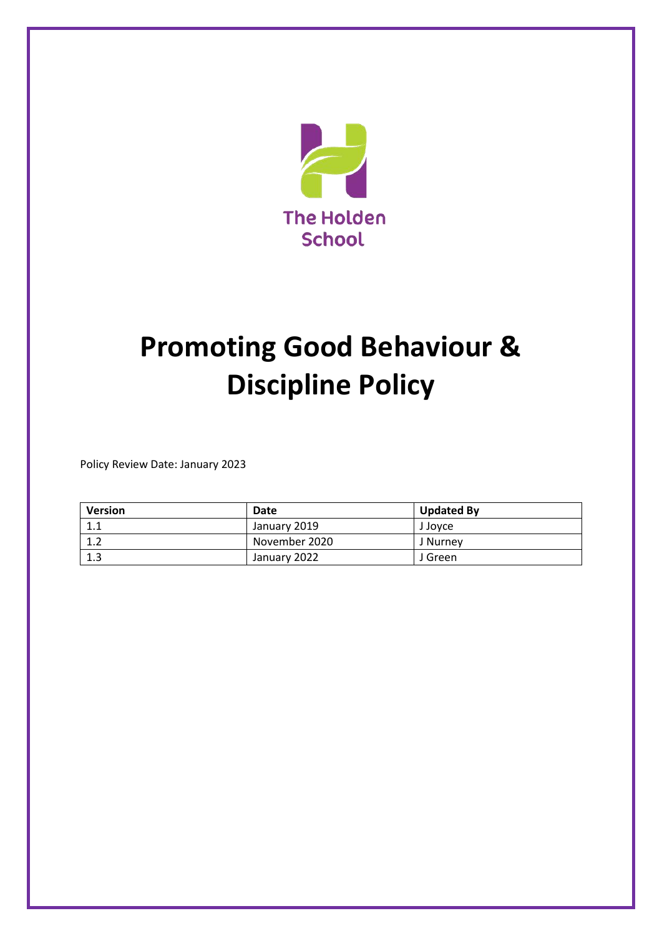

# **Promoting Good Behaviour & Discipline Policy**

Policy Review Date: January 2023

| <b>Version</b> | Date          | <b>Updated By</b> |
|----------------|---------------|-------------------|
| 1.1            | January 2019  | J Jovce           |
| 1 າ<br>⊥.∠     | November 2020 | J Nurney          |
| 1.3            | January 2022  | J Green           |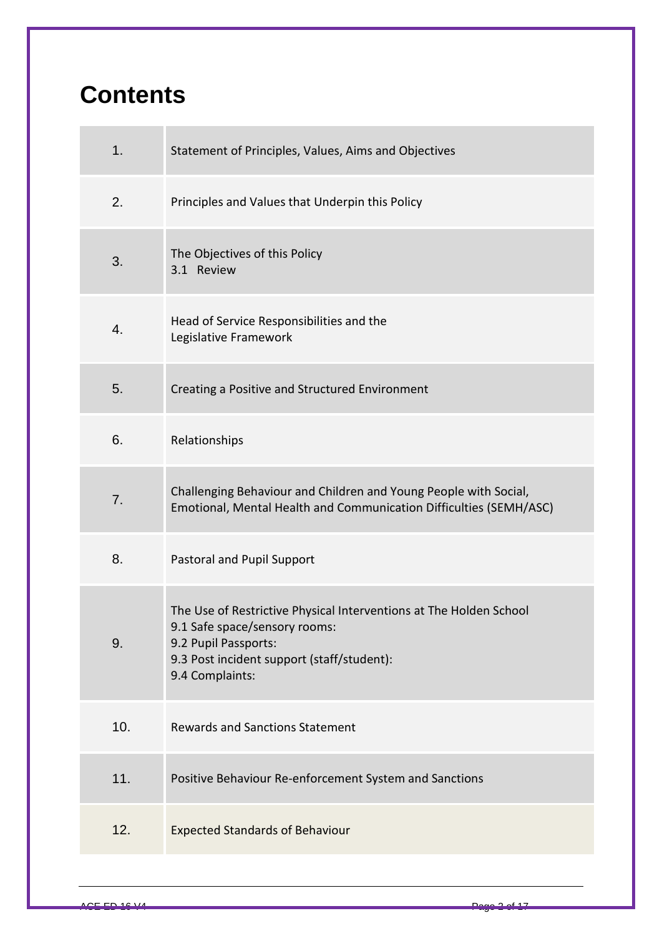## **Contents**

| 1.  | Statement of Principles, Values, Aims and Objectives                                                                                                                                         |
|-----|----------------------------------------------------------------------------------------------------------------------------------------------------------------------------------------------|
| 2.  | Principles and Values that Underpin this Policy                                                                                                                                              |
| 3.  | The Objectives of this Policy<br>3.1 Review                                                                                                                                                  |
| 4.  | Head of Service Responsibilities and the<br>Legislative Framework                                                                                                                            |
| 5.  | Creating a Positive and Structured Environment                                                                                                                                               |
| 6.  | Relationships                                                                                                                                                                                |
| 7.  | Challenging Behaviour and Children and Young People with Social,<br>Emotional, Mental Health and Communication Difficulties (SEMH/ASC)                                                       |
| 8.  | Pastoral and Pupil Support                                                                                                                                                                   |
| 9.  | The Use of Restrictive Physical Interventions at The Holden School<br>9.1 Safe space/sensory rooms:<br>9.2 Pupil Passports:<br>9.3 Post incident support (staff/student):<br>9.4 Complaints: |
| 10. | <b>Rewards and Sanctions Statement</b>                                                                                                                                                       |
| 11. | Positive Behaviour Re-enforcement System and Sanctions                                                                                                                                       |
| 12. | <b>Expected Standards of Behaviour</b>                                                                                                                                                       |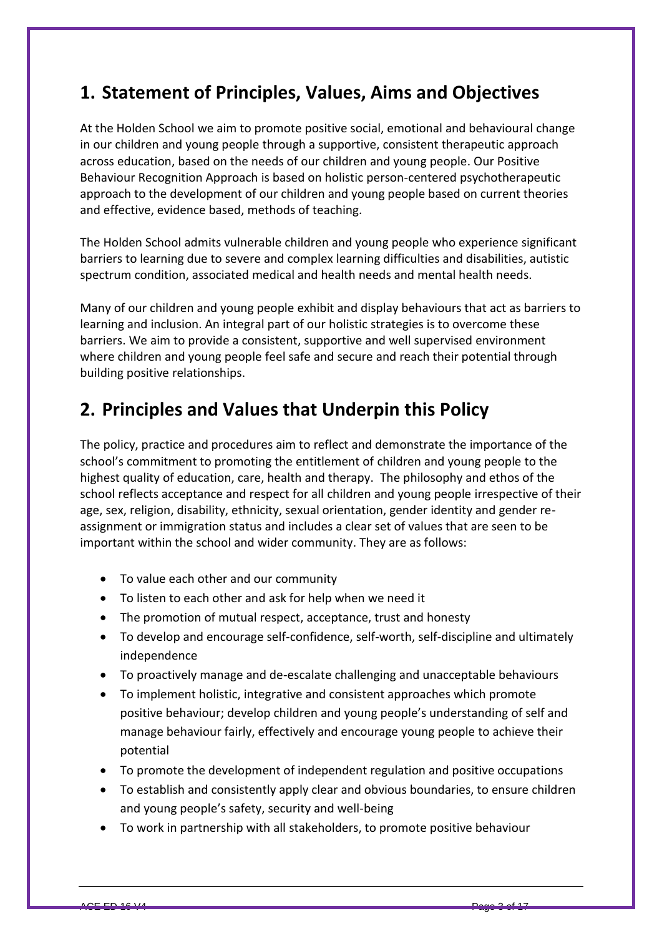## **1. Statement of Principles, Values, Aims and Objectives**

At the Holden School we aim to promote positive social, emotional and behavioural change in our children and young people through a supportive, consistent therapeutic approach across education, based on the needs of our children and young people. Our Positive Behaviour Recognition Approach is based on holistic person-centered psychotherapeutic approach to the development of our children and young people based on current theories and effective, evidence based, methods of teaching.

The Holden School admits vulnerable children and young people who experience significant barriers to learning due to severe and complex learning difficulties and disabilities, autistic spectrum condition, associated medical and health needs and mental health needs.

Many of our children and young people exhibit and display behaviours that act as barriers to learning and inclusion. An integral part of our holistic strategies is to overcome these barriers. We aim to provide a consistent, supportive and well supervised environment where children and young people feel safe and secure and reach their potential through building positive relationships.

## **2. Principles and Values that Underpin this Policy**

The policy, practice and procedures aim to reflect and demonstrate the importance of the school's commitment to promoting the entitlement of children and young people to the highest quality of education, care, health and therapy. The philosophy and ethos of the school reflects acceptance and respect for all children and young people irrespective of their age, sex, religion, disability, ethnicity, sexual orientation, gender identity and gender reassignment or immigration status and includes a clear set of values that are seen to be important within the school and wider community. They are as follows:

- To value each other and our community
- To listen to each other and ask for help when we need it
- The promotion of mutual respect, acceptance, trust and honesty
- To develop and encourage self-confidence, self-worth, self-discipline and ultimately independence
- To proactively manage and de-escalate challenging and unacceptable behaviours
- To implement holistic, integrative and consistent approaches which promote positive behaviour; develop children and young people's understanding of self and manage behaviour fairly, effectively and encourage young people to achieve their potential
- To promote the development of independent regulation and positive occupations
- To establish and consistently apply clear and obvious boundaries, to ensure children and young people's safety, security and well-being
- To work in partnership with all stakeholders, to promote positive behaviour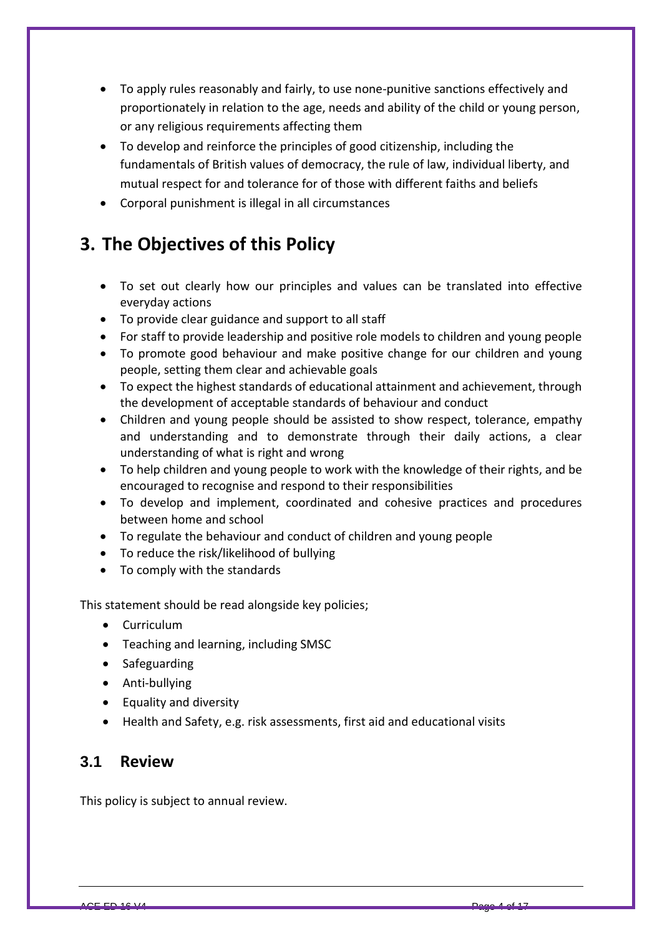- To apply rules reasonably and fairly, to use none-punitive sanctions effectively and proportionately in relation to the age, needs and ability of the child or young person, or any religious requirements affecting them
- To develop and reinforce the principles of good citizenship, including the fundamentals of British values of democracy, the rule of law, individual liberty, and mutual respect for and tolerance for of those with different faiths and beliefs
- Corporal punishment is illegal in all circumstances

## **3. The Objectives of this Policy**

- To set out clearly how our principles and values can be translated into effective everyday actions
- To provide clear guidance and support to all staff
- For staff to provide leadership and positive role models to children and young people
- To promote good behaviour and make positive change for our children and young people, setting them clear and achievable goals
- To expect the highest standards of educational attainment and achievement, through the development of acceptable standards of behaviour and conduct
- Children and young people should be assisted to show respect, tolerance, empathy and understanding and to demonstrate through their daily actions, a clear understanding of what is right and wrong
- To help children and young people to work with the knowledge of their rights, and be encouraged to recognise and respond to their responsibilities
- To develop and implement, coordinated and cohesive practices and procedures between home and school
- To regulate the behaviour and conduct of children and young people
- To reduce the risk/likelihood of bullying
- To comply with the standards

This statement should be read alongside key policies;

- Curriculum
- Teaching and learning, including SMSC
- Safeguarding
- Anti-bullying
- Equality and diversity
- Health and Safety, e.g. risk assessments, first aid and educational visits

#### **3.1 Review**

This policy is subject to annual review.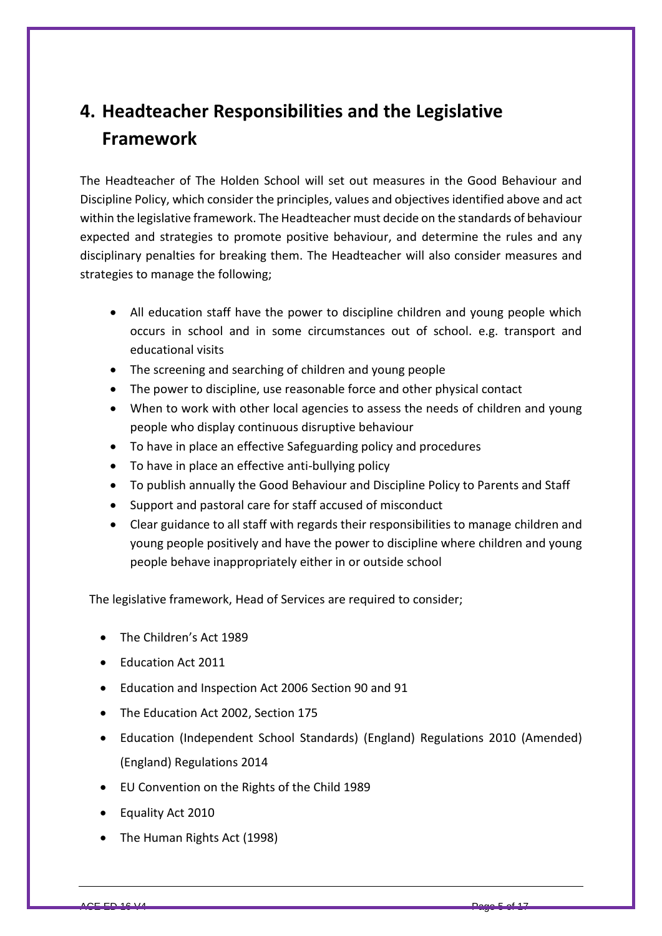## **4. Headteacher Responsibilities and the Legislative Framework**

The Headteacher of The Holden School will set out measures in the Good Behaviour and Discipline Policy, which consider the principles, values and objectives identified above and act within the legislative framework. The Headteacher must decide on the standards of behaviour expected and strategies to promote positive behaviour, and determine the rules and any disciplinary penalties for breaking them. The Headteacher will also consider measures and strategies to manage the following;

- All education staff have the power to discipline children and young people which occurs in school and in some circumstances out of school. e.g. transport and educational visits
- The screening and searching of children and young people
- The power to discipline, use reasonable force and other physical contact
- When to work with other local agencies to assess the needs of children and young people who display continuous disruptive behaviour
- To have in place an effective Safeguarding policy and procedures
- To have in place an effective anti-bullying policy
- To publish annually the Good Behaviour and Discipline Policy to Parents and Staff
- Support and pastoral care for staff accused of misconduct
- Clear guidance to all staff with regards their responsibilities to manage children and young people positively and have the power to discipline where children and young people behave inappropriately either in or outside school

The legislative framework, Head of Services are required to consider;

- The Children's Act 1989
- Education Act 2011
- Education and Inspection Act 2006 Section 90 and 91
- The Education Act 2002, Section 175
- Education (Independent School Standards) (England) Regulations 2010 (Amended) (England) Regulations 2014
- EU Convention on the Rights of the Child 1989
- Equality Act 2010
- The Human Rights Act (1998)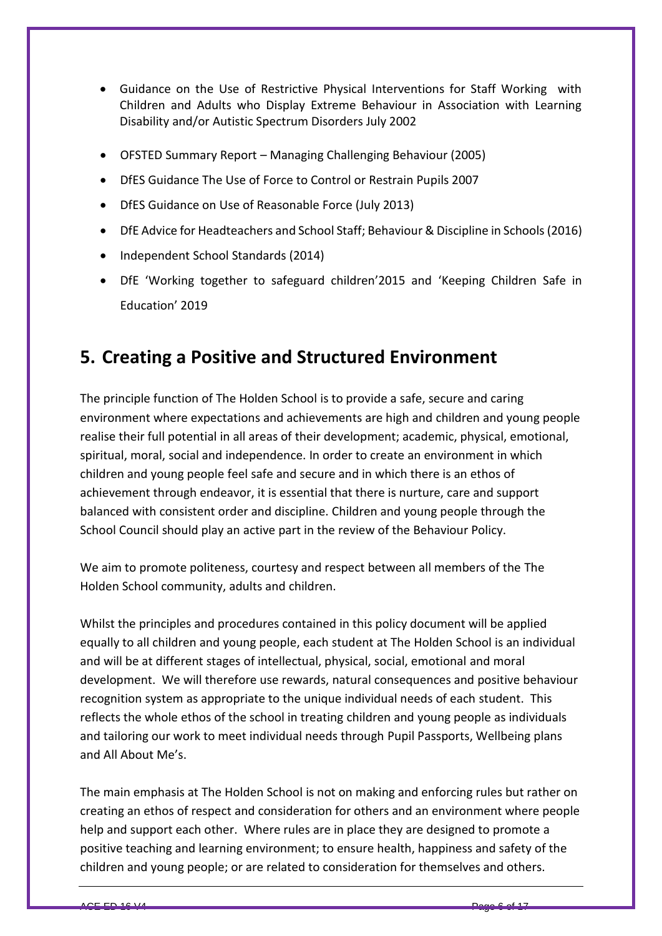- Guidance on the Use of Restrictive Physical Interventions for Staff Working with Children and Adults who Display Extreme Behaviour in Association with Learning Disability and/or Autistic Spectrum Disorders July 2002
- OFSTED Summary Report Managing Challenging Behaviour (2005)
- DfES Guidance The Use of Force to Control or Restrain Pupils 2007
- DfES Guidance on Use of Reasonable Force (July 2013)
- DfE Advice for Headteachers and School Staff; Behaviour & Discipline in Schools(2016)
- Independent School Standards (2014)
- DfE 'Working together to safeguard children'2015 and 'Keeping Children Safe in Education' 2019

## **5. Creating a Positive and Structured Environment**

The principle function of The Holden School is to provide a safe, secure and caring environment where expectations and achievements are high and children and young people realise their full potential in all areas of their development; academic, physical, emotional, spiritual, moral, social and independence. In order to create an environment in which children and young people feel safe and secure and in which there is an ethos of achievement through endeavor, it is essential that there is nurture, care and support balanced with consistent order and discipline. Children and young people through the School Council should play an active part in the review of the Behaviour Policy.

We aim to promote politeness, courtesy and respect between all members of the The Holden School community, adults and children.

Whilst the principles and procedures contained in this policy document will be applied equally to all children and young people, each student at The Holden School is an individual and will be at different stages of intellectual, physical, social, emotional and moral development. We will therefore use rewards, natural consequences and positive behaviour recognition system as appropriate to the unique individual needs of each student. This reflects the whole ethos of the school in treating children and young people as individuals and tailoring our work to meet individual needs through Pupil Passports, Wellbeing plans and All About Me's.

The main emphasis at The Holden School is not on making and enforcing rules but rather on creating an ethos of respect and consideration for others and an environment where people help and support each other. Where rules are in place they are designed to promote a positive teaching and learning environment; to ensure health, happiness and safety of the children and young people; or are related to consideration for themselves and others.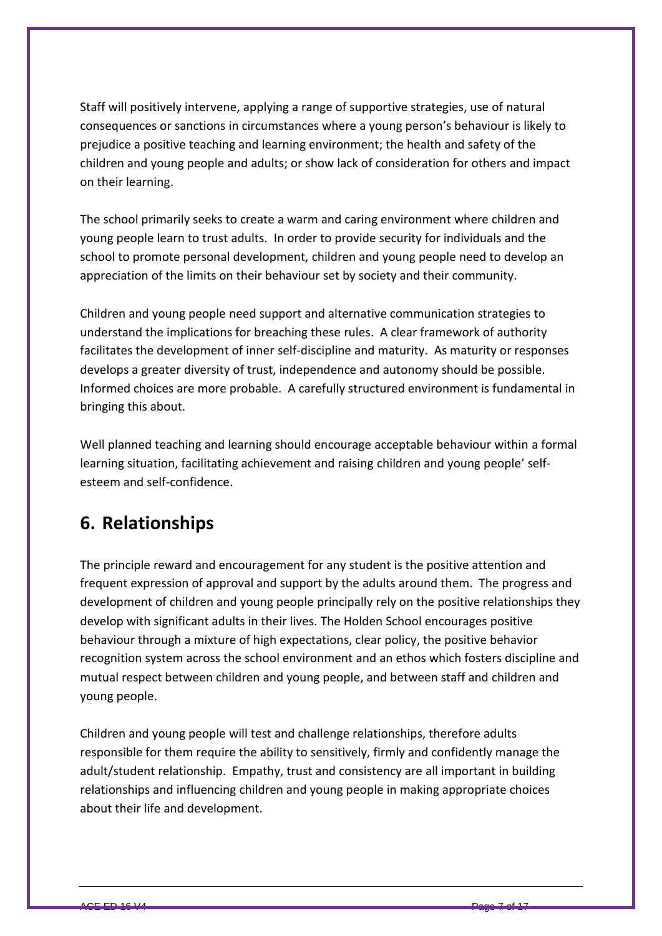Staff will positively intervene, applying a range of supportive strategies, use of natural consequences or sanctions in circumstances where a young person's behaviour is likely to prejudice a positive teaching and learning environment; the health and safety of the children and young people and adults; or show lack of consideration for others and impact on their learning.

The school primarily seeks to create a warm and caring environment where children and young people learn to trust adults. In order to provide security for individuals and the school to promote personal development, children and young people need to develop an appreciation of the limits on their behaviour set by society and their community.

Children and young people need support and alternative communication strategies to understand the implications for breaching these rules. A clear framework of authority facilitates the development of inner self-discipline and maturity. As maturity or responses develops a greater diversity of trust, independence and autonomy should be possible. Informed choices are more probable. A carefully structured environment is fundamental in bringing this about.

Well planned teaching and learning should encourage acceptable behaviour within a formal learning situation, facilitating achievement and raising children and young people' selfesteem and self-confidence.

## **6. Relationships**

The principle reward and encouragement for any student is the positive attention and frequent expression of approval and support by the adults around them. The progress and development of children and young people principally rely on the positive relationships they develop with significant adults in their lives. The Holden School encourages positive behaviour through a mixture of high expectations, clear policy, the positive behavior recognition system across the school environment and an ethos which fosters discipline and mutual respect between children and young people, and between staff and children and young people.

Children and young people will test and challenge relationships, therefore adults responsible for them require the ability to sensitively, firmly and confidently manage the adult/student relationship. Empathy, trust and consistency are all important in building relationships and influencing children and young people in making appropriate choices about their life and development.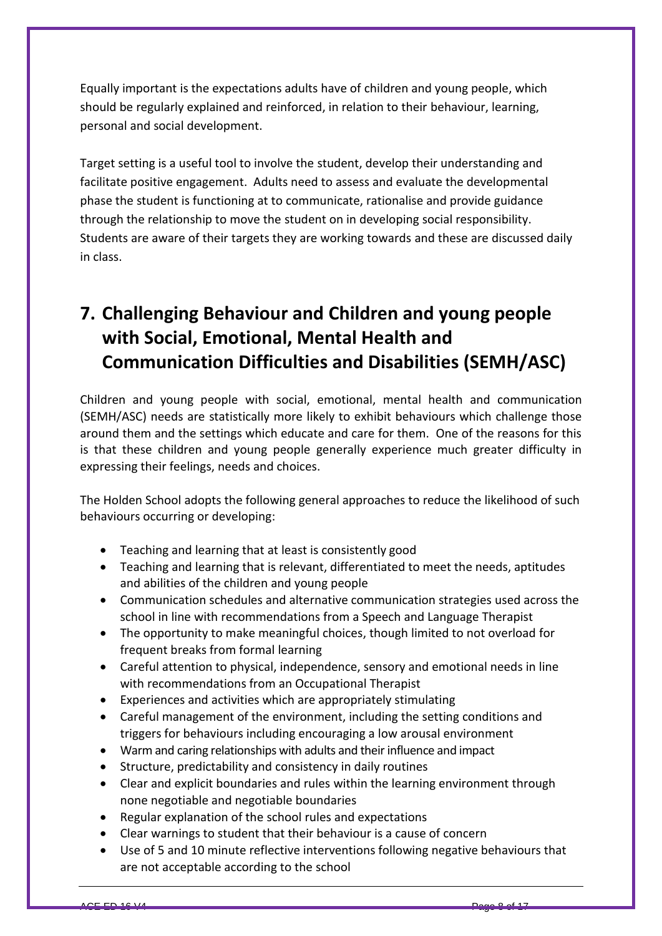Equally important is the expectations adults have of children and young people, which should be regularly explained and reinforced, in relation to their behaviour, learning, personal and social development.

Target setting is a useful tool to involve the student, develop their understanding and facilitate positive engagement. Adults need to assess and evaluate the developmental phase the student is functioning at to communicate, rationalise and provide guidance through the relationship to move the student on in developing social responsibility. Students are aware of their targets they are working towards and these are discussed daily in class.

## **7. Challenging Behaviour and Children and young people with Social, Emotional, Mental Health and Communication Difficulties and Disabilities (SEMH/ASC)**

Children and young people with social, emotional, mental health and communication (SEMH/ASC) needs are statistically more likely to exhibit behaviours which challenge those around them and the settings which educate and care for them. One of the reasons for this is that these children and young people generally experience much greater difficulty in expressing their feelings, needs and choices.

The Holden School adopts the following general approaches to reduce the likelihood of such behaviours occurring or developing:

- Teaching and learning that at least is consistently good
- Teaching and learning that is relevant, differentiated to meet the needs, aptitudes and abilities of the children and young people
- Communication schedules and alternative communication strategies used across the school in line with recommendations from a Speech and Language Therapist
- The opportunity to make meaningful choices, though limited to not overload for frequent breaks from formal learning
- Careful attention to physical, independence, sensory and emotional needs in line with recommendations from an Occupational Therapist
- Experiences and activities which are appropriately stimulating
- Careful management of the environment, including the setting conditions and triggers for behaviours including encouraging a low arousal environment
- Warm and caring relationships with adults and their influence and impact
- Structure, predictability and consistency in daily routines
- Clear and explicit boundaries and rules within the learning environment through none negotiable and negotiable boundaries
- Regular explanation of the school rules and expectations
- Clear warnings to student that their behaviour is a cause of concern
- Use of 5 and 10 minute reflective interventions following negative behaviours that are not acceptable according to the school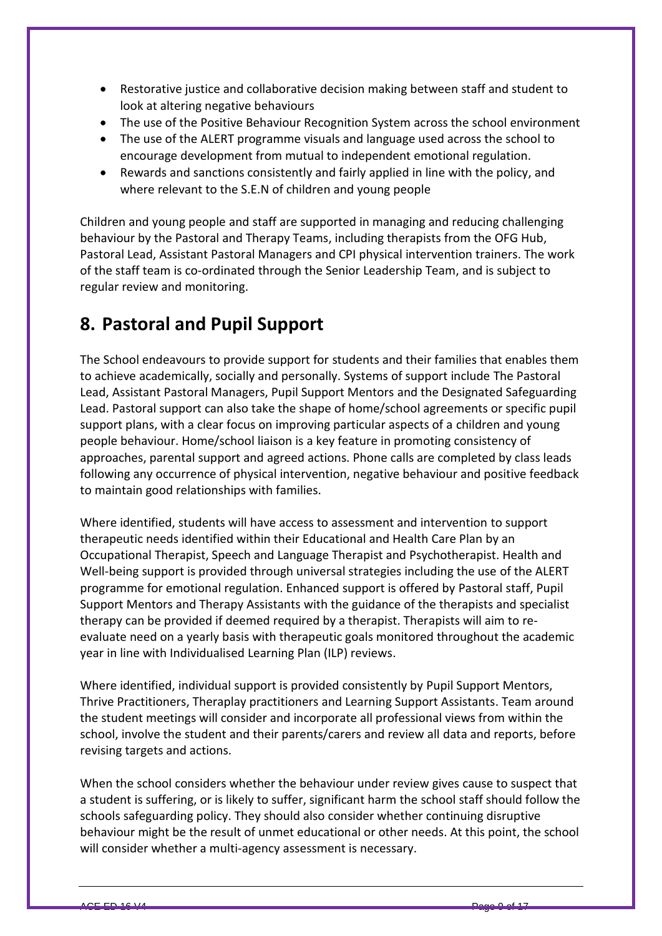- Restorative justice and collaborative decision making between staff and student to look at altering negative behaviours
- The use of the Positive Behaviour Recognition System across the school environment
- The use of the ALERT programme visuals and language used across the school to encourage development from mutual to independent emotional regulation.
- Rewards and sanctions consistently and fairly applied in line with the policy, and where relevant to the S.E.N of children and young people

Children and young people and staff are supported in managing and reducing challenging behaviour by the Pastoral and Therapy Teams, including therapists from the OFG Hub, Pastoral Lead, Assistant Pastoral Managers and CPI physical intervention trainers. The work of the staff team is co-ordinated through the Senior Leadership Team, and is subject to regular review and monitoring.

## **8. Pastoral and Pupil Support**

The School endeavours to provide support for students and their families that enables them to achieve academically, socially and personally. Systems of support include The Pastoral Lead, Assistant Pastoral Managers, Pupil Support Mentors and the Designated Safeguarding Lead. Pastoral support can also take the shape of home/school agreements or specific pupil support plans, with a clear focus on improving particular aspects of a children and young people behaviour. Home/school liaison is a key feature in promoting consistency of approaches, parental support and agreed actions. Phone calls are completed by class leads following any occurrence of physical intervention, negative behaviour and positive feedback to maintain good relationships with families.

Where identified, students will have access to assessment and intervention to support therapeutic needs identified within their Educational and Health Care Plan by an Occupational Therapist, Speech and Language Therapist and Psychotherapist. Health and Well-being support is provided through universal strategies including the use of the ALERT programme for emotional regulation. Enhanced support is offered by Pastoral staff, Pupil Support Mentors and Therapy Assistants with the guidance of the therapists and specialist therapy can be provided if deemed required by a therapist. Therapists will aim to reevaluate need on a yearly basis with therapeutic goals monitored throughout the academic year in line with Individualised Learning Plan (ILP) reviews.

Where identified, individual support is provided consistently by Pupil Support Mentors, Thrive Practitioners, Theraplay practitioners and Learning Support Assistants. Team around the student meetings will consider and incorporate all professional views from within the school, involve the student and their parents/carers and review all data and reports, before revising targets and actions.

When the school considers whether the behaviour under review gives cause to suspect that a student is suffering, or is likely to suffer, significant harm the school staff should follow the schools safeguarding policy. They should also consider whether continuing disruptive behaviour might be the result of unmet educational or other needs. At this point, the school will consider whether a multi-agency assessment is necessary.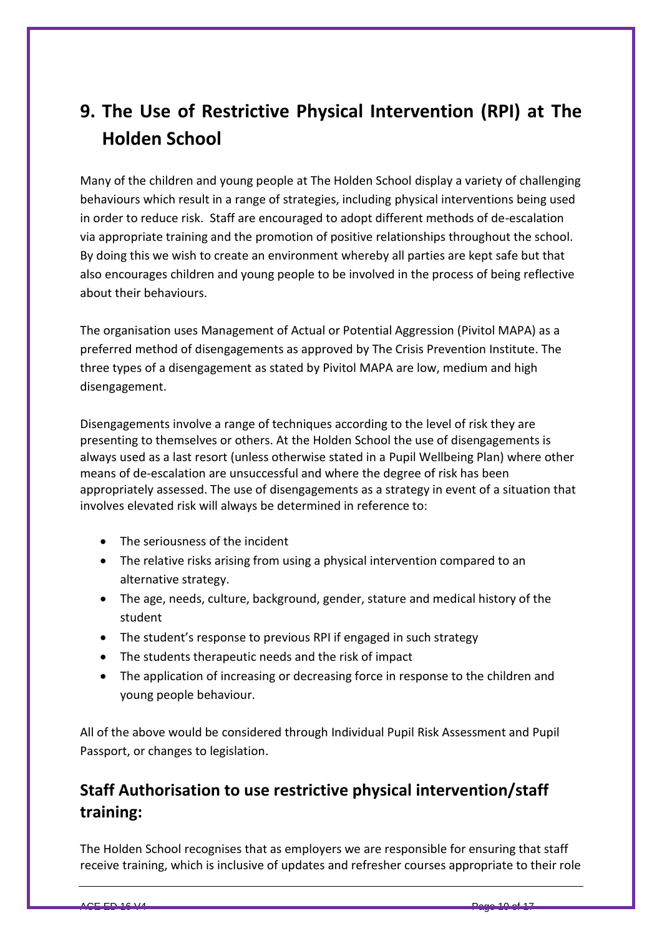## **9. The Use of Restrictive Physical Intervention (RPI) at The Holden School**

Many of the children and young people at The Holden School display a variety of challenging behaviours which result in a range of strategies, including physical interventions being used in order to reduce risk. Staff are encouraged to adopt different methods of de-escalation via appropriate training and the promotion of positive relationships throughout the school. By doing this we wish to create an environment whereby all parties are kept safe but that also encourages children and young people to be involved in the process of being reflective about their behaviours.

The organisation uses Management of Actual or Potential Aggression (Pivitol MAPA) as a preferred method of disengagements as approved by The Crisis Prevention Institute. The three types of a disengagement as stated by Pivitol MAPA are low, medium and high disengagement.

Disengagements involve a range of techniques according to the level of risk they are presenting to themselves or others. At the Holden School the use of disengagements is always used as a last resort (unless otherwise stated in a Pupil Wellbeing Plan) where other means of de-escalation are unsuccessful and where the degree of risk has been appropriately assessed. The use of disengagements as a strategy in event of a situation that involves elevated risk will always be determined in reference to:

- The seriousness of the incident
- The relative risks arising from using a physical intervention compared to an alternative strategy.
- The age, needs, culture, background, gender, stature and medical history of the student
- The student's response to previous RPI if engaged in such strategy
- The students therapeutic needs and the risk of impact
- The application of increasing or decreasing force in response to the children and young people behaviour.

All of the above would be considered through Individual Pupil Risk Assessment and Pupil Passport, or changes to legislation.

#### **Staff Authorisation to use restrictive physical intervention/staff training:**

The Holden School recognises that as employers we are responsible for ensuring that staff receive training, which is inclusive of updates and refresher courses appropriate to their role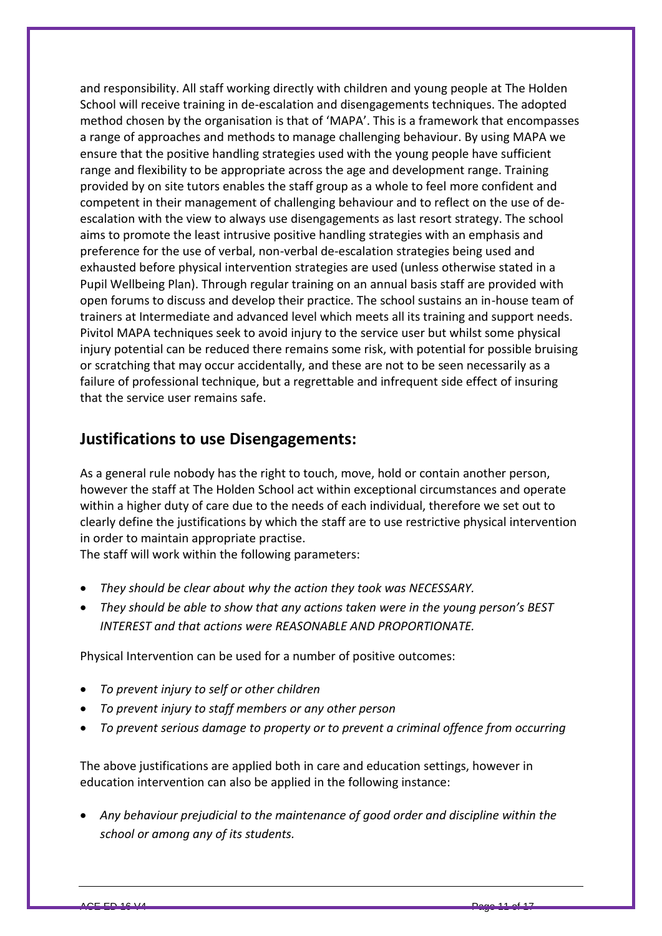and responsibility. All staff working directly with children and young people at The Holden School will receive training in de-escalation and disengagements techniques. The adopted method chosen by the organisation is that of 'MAPA'. This is a framework that encompasses a range of approaches and methods to manage challenging behaviour. By using MAPA we ensure that the positive handling strategies used with the young people have sufficient range and flexibility to be appropriate across the age and development range. Training provided by on site tutors enables the staff group as a whole to feel more confident and competent in their management of challenging behaviour and to reflect on the use of deescalation with the view to always use disengagements as last resort strategy. The school aims to promote the least intrusive positive handling strategies with an emphasis and preference for the use of verbal, non-verbal de-escalation strategies being used and exhausted before physical intervention strategies are used (unless otherwise stated in a Pupil Wellbeing Plan). Through regular training on an annual basis staff are provided with open forums to discuss and develop their practice. The school sustains an in-house team of trainers at Intermediate and advanced level which meets all its training and support needs. Pivitol MAPA techniques seek to avoid injury to the service user but whilst some physical injury potential can be reduced there remains some risk, with potential for possible bruising or scratching that may occur accidentally, and these are not to be seen necessarily as a failure of professional technique, but a regrettable and infrequent side effect of insuring that the service user remains safe.

#### **Justifications to use Disengagements:**

As a general rule nobody has the right to touch, move, hold or contain another person, however the staff at The Holden School act within exceptional circumstances and operate within a higher duty of care due to the needs of each individual, therefore we set out to clearly define the justifications by which the staff are to use restrictive physical intervention in order to maintain appropriate practise.

The staff will work within the following parameters:

- *They should be clear about why the action they took was NECESSARY.*
- *They should be able to show that any actions taken were in the young person's BEST INTEREST and that actions were REASONABLE AND PROPORTIONATE.*

Physical Intervention can be used for a number of positive outcomes:

- *To prevent injury to self or other children*
- *To prevent injury to staff members or any other person*
- *To prevent serious damage to property or to prevent a criminal offence from occurring*

The above justifications are applied both in care and education settings, however in education intervention can also be applied in the following instance:

 *Any behaviour prejudicial to the maintenance of good order and discipline within the school or among any of its students.*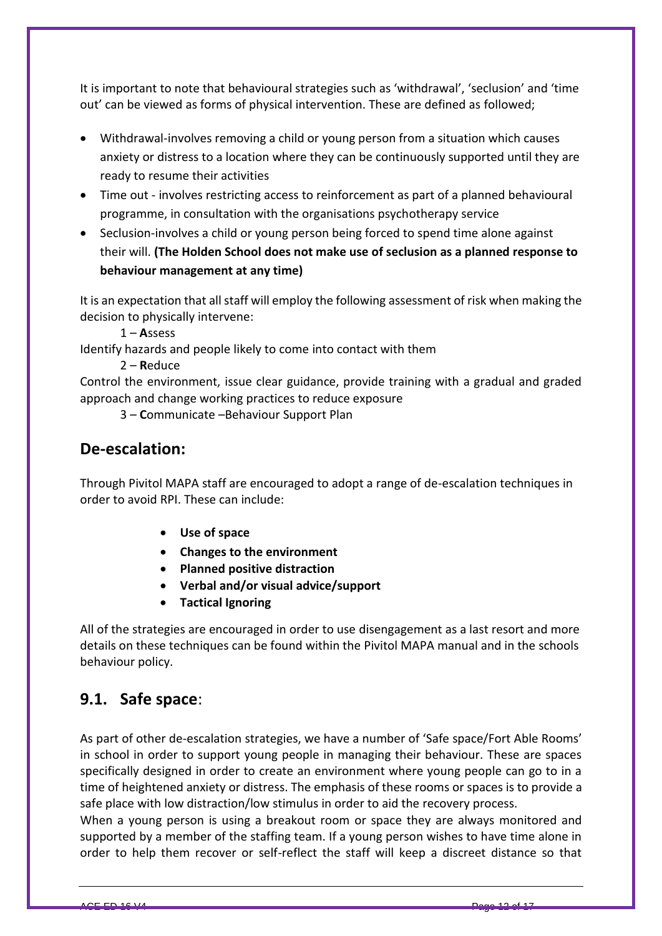It is important to note that behavioural strategies such as 'withdrawal', 'seclusion' and 'time out' can be viewed as forms of physical intervention. These are defined as followed;

- Withdrawal-involves removing a child or young person from a situation which causes anxiety or distress to a location where they can be continuously supported until they are ready to resume their activities
- Time out involves restricting access to reinforcement as part of a planned behavioural programme, in consultation with the organisations psychotherapy service
- Seclusion-involves a child or young person being forced to spend time alone against their will. **(The Holden School does not make use of seclusion as a planned response to behaviour management at any time)**

It is an expectation that all staff will employ the following assessment of risk when making the decision to physically intervene:

1 – **A**ssess

Identify hazards and people likely to come into contact with them

2 – **R**educe

Control the environment, issue clear guidance, provide training with a gradual and graded approach and change working practices to reduce exposure

3 – **C**ommunicate –Behaviour Support Plan

#### **De-escalation:**

Through Pivitol MAPA staff are encouraged to adopt a range of de-escalation techniques in order to avoid RPI. These can include:

- **Use of space**
- **Changes to the environment**
- **Planned positive distraction**
- **Verbal and/or visual advice/support**
- **Tactical Ignoring**

All of the strategies are encouraged in order to use disengagement as a last resort and more details on these techniques can be found within the Pivitol MAPA manual and in the schools behaviour policy.

#### **9.1. Safe space**:

As part of other de-escalation strategies, we have a number of 'Safe space/Fort Able Rooms' in school in order to support young people in managing their behaviour. These are spaces specifically designed in order to create an environment where young people can go to in a time of heightened anxiety or distress. The emphasis of these rooms or spaces is to provide a safe place with low distraction/low stimulus in order to aid the recovery process.

When a young person is using a breakout room or space they are always monitored and supported by a member of the staffing team. If a young person wishes to have time alone in order to help them recover or self-reflect the staff will keep a discreet distance so that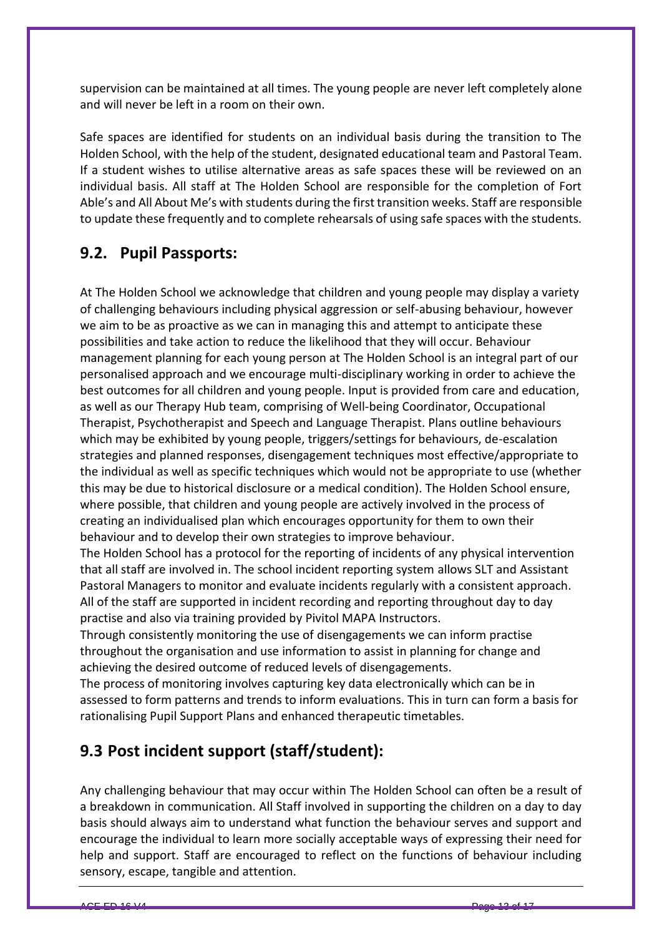supervision can be maintained at all times. The young people are never left completely alone and will never be left in a room on their own.

Safe spaces are identified for students on an individual basis during the transition to The Holden School, with the help of the student, designated educational team and Pastoral Team. If a student wishes to utilise alternative areas as safe spaces these will be reviewed on an individual basis. All staff at The Holden School are responsible for the completion of Fort Able's and All About Me's with students during the first transition weeks. Staff are responsible to update these frequently and to complete rehearsals of using safe spaces with the students.

#### **9.2. Pupil Passports:**

At The Holden School we acknowledge that children and young people may display a variety of challenging behaviours including physical aggression or self-abusing behaviour, however we aim to be as proactive as we can in managing this and attempt to anticipate these possibilities and take action to reduce the likelihood that they will occur. Behaviour management planning for each young person at The Holden School is an integral part of our personalised approach and we encourage multi-disciplinary working in order to achieve the best outcomes for all children and young people. Input is provided from care and education, as well as our Therapy Hub team, comprising of Well-being Coordinator, Occupational Therapist, Psychotherapist and Speech and Language Therapist. Plans outline behaviours which may be exhibited by young people, triggers/settings for behaviours, de-escalation strategies and planned responses, disengagement techniques most effective/appropriate to the individual as well as specific techniques which would not be appropriate to use (whether this may be due to historical disclosure or a medical condition). The Holden School ensure, where possible, that children and young people are actively involved in the process of creating an individualised plan which encourages opportunity for them to own their behaviour and to develop their own strategies to improve behaviour.

The Holden School has a protocol for the reporting of incidents of any physical intervention that all staff are involved in. The school incident reporting system allows SLT and Assistant Pastoral Managers to monitor and evaluate incidents regularly with a consistent approach. All of the staff are supported in incident recording and reporting throughout day to day practise and also via training provided by Pivitol MAPA Instructors.

Through consistently monitoring the use of disengagements we can inform practise throughout the organisation and use information to assist in planning for change and achieving the desired outcome of reduced levels of disengagements.

The process of monitoring involves capturing key data electronically which can be in assessed to form patterns and trends to inform evaluations. This in turn can form a basis for rationalising Pupil Support Plans and enhanced therapeutic timetables.

#### **9.3 Post incident support (staff/student):**

Any challenging behaviour that may occur within The Holden School can often be a result of a breakdown in communication. All Staff involved in supporting the children on a day to day basis should always aim to understand what function the behaviour serves and support and encourage the individual to learn more socially acceptable ways of expressing their need for help and support. Staff are encouraged to reflect on the functions of behaviour including sensory, escape, tangible and attention.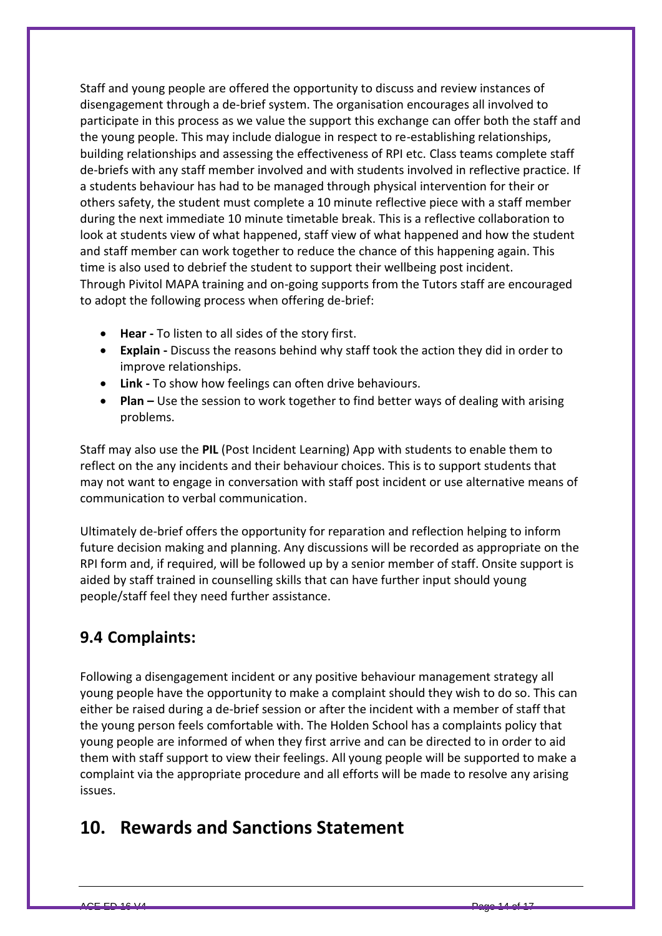Staff and young people are offered the opportunity to discuss and review instances of disengagement through a de-brief system. The organisation encourages all involved to participate in this process as we value the support this exchange can offer both the staff and the young people. This may include dialogue in respect to re-establishing relationships, building relationships and assessing the effectiveness of RPI etc. Class teams complete staff de-briefs with any staff member involved and with students involved in reflective practice. If a students behaviour has had to be managed through physical intervention for their or others safety, the student must complete a 10 minute reflective piece with a staff member during the next immediate 10 minute timetable break. This is a reflective collaboration to look at students view of what happened, staff view of what happened and how the student and staff member can work together to reduce the chance of this happening again. This time is also used to debrief the student to support their wellbeing post incident. Through Pivitol MAPA training and on-going supports from the Tutors staff are encouraged to adopt the following process when offering de-brief:

- **Hear -** To listen to all sides of the story first.
- **Explain -** Discuss the reasons behind why staff took the action they did in order to improve relationships.
- **Link -** To show how feelings can often drive behaviours.
- **•** Plan Use the session to work together to find better ways of dealing with arising problems.

Staff may also use the **PIL** (Post Incident Learning) App with students to enable them to reflect on the any incidents and their behaviour choices. This is to support students that may not want to engage in conversation with staff post incident or use alternative means of communication to verbal communication.

Ultimately de-brief offers the opportunity for reparation and reflection helping to inform future decision making and planning. Any discussions will be recorded as appropriate on the RPI form and, if required, will be followed up by a senior member of staff. Onsite support is aided by staff trained in counselling skills that can have further input should young people/staff feel they need further assistance.

#### **9.4 Complaints:**

Following a disengagement incident or any positive behaviour management strategy all young people have the opportunity to make a complaint should they wish to do so. This can either be raised during a de-brief session or after the incident with a member of staff that the young person feels comfortable with. The Holden School has a complaints policy that young people are informed of when they first arrive and can be directed to in order to aid them with staff support to view their feelings. All young people will be supported to make a complaint via the appropriate procedure and all efforts will be made to resolve any arising issues.

#### **10. Rewards and Sanctions Statement**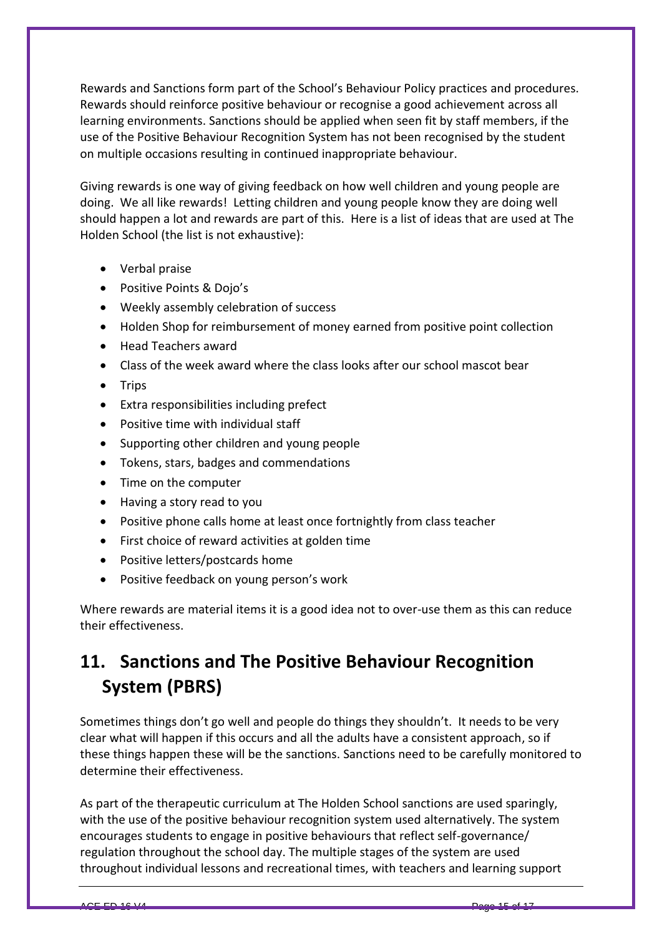Rewards and Sanctions form part of the School's Behaviour Policy practices and procedures. Rewards should reinforce positive behaviour or recognise a good achievement across all learning environments. Sanctions should be applied when seen fit by staff members, if the use of the Positive Behaviour Recognition System has not been recognised by the student on multiple occasions resulting in continued inappropriate behaviour.

Giving rewards is one way of giving feedback on how well children and young people are doing. We all like rewards! Letting children and young people know they are doing well should happen a lot and rewards are part of this. Here is a list of ideas that are used at The Holden School (the list is not exhaustive):

- Verbal praise
- Positive Points & Dojo's
- Weekly assembly celebration of success
- Holden Shop for reimbursement of money earned from positive point collection
- Head Teachers award
- Class of the week award where the class looks after our school mascot bear
- $\bullet$  Trips
- Extra responsibilities including prefect
- Positive time with individual staff
- Supporting other children and young people
- Tokens, stars, badges and commendations
- Time on the computer
- Having a story read to you
- Positive phone calls home at least once fortnightly from class teacher
- First choice of reward activities at golden time
- Positive letters/postcards home
- Positive feedback on young person's work

Where rewards are material items it is a good idea not to over-use them as this can reduce their effectiveness.

## **11. Sanctions and The Positive Behaviour Recognition System (PBRS)**

Sometimes things don't go well and people do things they shouldn't. It needs to be very clear what will happen if this occurs and all the adults have a consistent approach, so if these things happen these will be the sanctions. Sanctions need to be carefully monitored to determine their effectiveness.

As part of the therapeutic curriculum at The Holden School sanctions are used sparingly, with the use of the positive behaviour recognition system used alternatively. The system encourages students to engage in positive behaviours that reflect self-governance/ regulation throughout the school day. The multiple stages of the system are used throughout individual lessons and recreational times, with teachers and learning support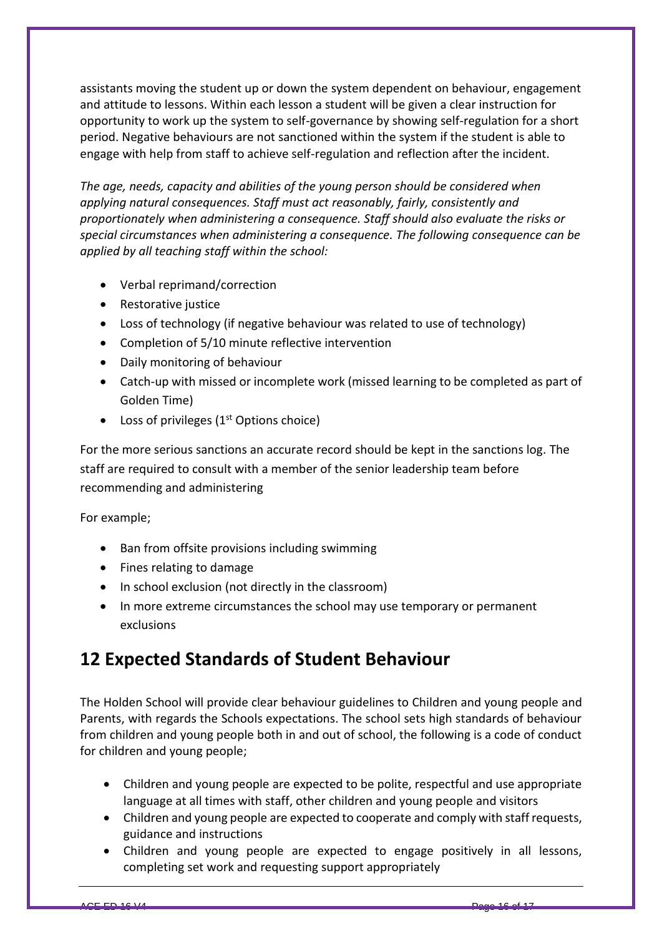assistants moving the student up or down the system dependent on behaviour, engagement and attitude to lessons. Within each lesson a student will be given a clear instruction for opportunity to work up the system to self-governance by showing self-regulation for a short period. Negative behaviours are not sanctioned within the system if the student is able to engage with help from staff to achieve self-regulation and reflection after the incident.

*The age, needs, capacity and abilities of the young person should be considered when applying natural consequences. Staff must act reasonably, fairly, consistently and proportionately when administering a consequence. Staff should also evaluate the risks or special circumstances when administering a consequence. The following consequence can be applied by all teaching staff within the school:*

- Verbal reprimand/correction
- Restorative justice
- Loss of technology (if negative behaviour was related to use of technology)
- Completion of 5/10 minute reflective intervention
- Daily monitoring of behaviour
- Catch-up with missed or incomplete work (missed learning to be completed as part of Golden Time)
- Loss of privileges  $(1<sup>st</sup>$  Options choice)

For the more serious sanctions an accurate record should be kept in the sanctions log. The staff are required to consult with a member of the senior leadership team before recommending and administering

For example;

- Ban from offsite provisions including swimming
- Fines relating to damage
- In school exclusion (not directly in the classroom)
- In more extreme circumstances the school may use temporary or permanent exclusions

## **12 Expected Standards of Student Behaviour**

The Holden School will provide clear behaviour guidelines to Children and young people and Parents, with regards the Schools expectations. The school sets high standards of behaviour from children and young people both in and out of school, the following is a code of conduct for children and young people;

- Children and young people are expected to be polite, respectful and use appropriate language at all times with staff, other children and young people and visitors
- Children and young people are expected to cooperate and comply with staff requests, guidance and instructions
- Children and young people are expected to engage positively in all lessons, completing set work and requesting support appropriately